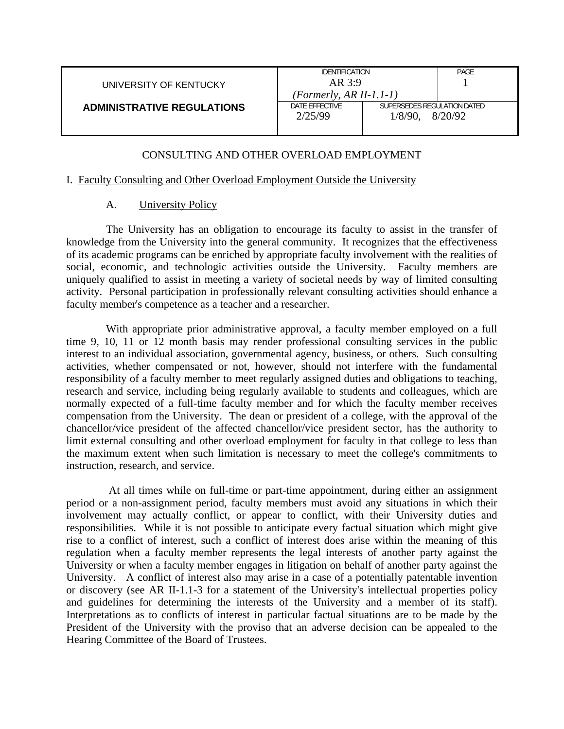| UNIVERSITY OF KENTUCKY |  |
|------------------------|--|
|------------------------|--|

#### **ADMINISTRATIVE REGULATIONS**

| <b>IDENTIFICATION</b>     |                             | PAGF |
|---------------------------|-----------------------------|------|
| AR 3:9                    |                             |      |
| $(Formerly, AR II-1.1-1)$ |                             |      |
| DATE FFFFCTIVE            | SUPERSEDES REGULATION DATED |      |
| 2/25/99                   | $1/8/90$ , $8/20/92$        |      |
|                           |                             |      |

# CONSULTING AND OTHER OVERLOAD EMPLOYMENT

## I. Faculty Consulting and Other Overload Employment Outside the University

## A. University Policy

 The University has an obligation to encourage its faculty to assist in the transfer of knowledge from the University into the general community. It recognizes that the effectiveness of its academic programs can be enriched by appropriate faculty involvement with the realities of social, economic, and technologic activities outside the University. Faculty members are uniquely qualified to assist in meeting a variety of societal needs by way of limited consulting activity. Personal participation in professionally relevant consulting activities should enhance a faculty member's competence as a teacher and a researcher.

 With appropriate prior administrative approval, a faculty member employed on a full time 9, 10, 11 or 12 month basis may render professional consulting services in the public interest to an individual association, governmental agency, business, or others. Such consulting activities, whether compensated or not, however, should not interfere with the fundamental responsibility of a faculty member to meet regularly assigned duties and obligations to teaching, research and service, including being regularly available to students and colleagues, which are normally expected of a full-time faculty member and for which the faculty member receives compensation from the University. The dean or president of a college, with the approval of the chancellor/vice president of the affected chancellor/vice president sector, has the authority to limit external consulting and other overload employment for faculty in that college to less than the maximum extent when such limitation is necessary to meet the college's commitments to instruction, research, and service.

 At all times while on full-time or part-time appointment, during either an assignment period or a non-assignment period, faculty members must avoid any situations in which their involvement may actually conflict, or appear to conflict, with their University duties and responsibilities. While it is not possible to anticipate every factual situation which might give rise to a conflict of interest, such a conflict of interest does arise within the meaning of this regulation when a faculty member represents the legal interests of another party against the University or when a faculty member engages in litigation on behalf of another party against the University. A conflict of interest also may arise in a case of a potentially patentable invention or discovery (see AR II-1.1-3 for a statement of the University's intellectual properties policy and guidelines for determining the interests of the University and a member of its staff). Interpretations as to conflicts of interest in particular factual situations are to be made by the President of the University with the proviso that an adverse decision can be appealed to the Hearing Committee of the Board of Trustees.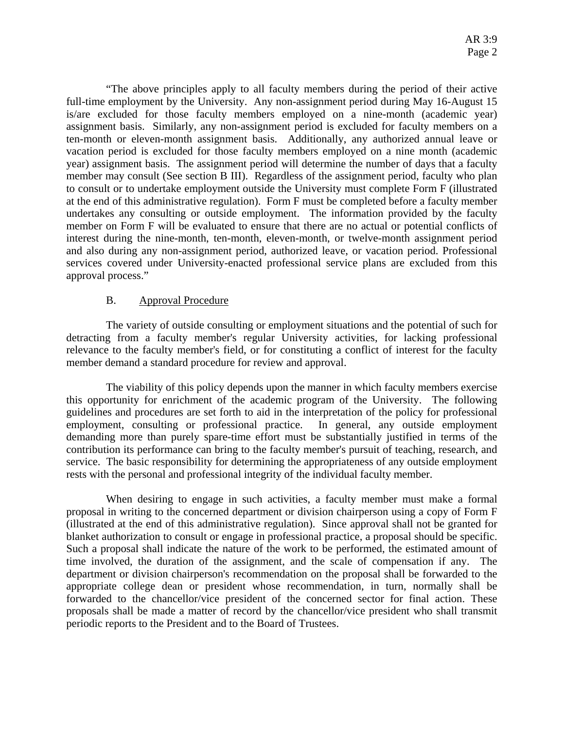"The above principles apply to all faculty members during the period of their active full-time employment by the University. Any non-assignment period during May 16-August 15 is/are excluded for those faculty members employed on a nine-month (academic year) assignment basis. Similarly, any non-assignment period is excluded for faculty members on a ten-month or eleven-month assignment basis. Additionally, any authorized annual leave or vacation period is excluded for those faculty members employed on a nine month (academic year) assignment basis. The assignment period will determine the number of days that a faculty member may consult (See section B III). Regardless of the assignment period, faculty who plan to consult or to undertake employment outside the University must complete Form F (illustrated at the end of this administrative regulation). Form F must be completed before a faculty member undertakes any consulting or outside employment. The information provided by the faculty member on Form F will be evaluated to ensure that there are no actual or potential conflicts of interest during the nine-month, ten-month, eleven-month, or twelve-month assignment period and also during any non-assignment period, authorized leave, or vacation period. Professional services covered under University-enacted professional service plans are excluded from this approval process."

#### B. Approval Procedure

 The variety of outside consulting or employment situations and the potential of such for detracting from a faculty member's regular University activities, for lacking professional relevance to the faculty member's field, or for constituting a conflict of interest for the faculty member demand a standard procedure for review and approval.

 The viability of this policy depends upon the manner in which faculty members exercise this opportunity for enrichment of the academic program of the University. The following guidelines and procedures are set forth to aid in the interpretation of the policy for professional employment, consulting or professional practice. In general, any outside employment demanding more than purely spare-time effort must be substantially justified in terms of the contribution its performance can bring to the faculty member's pursuit of teaching, research, and service. The basic responsibility for determining the appropriateness of any outside employment rests with the personal and professional integrity of the individual faculty member.

 When desiring to engage in such activities, a faculty member must make a formal proposal in writing to the concerned department or division chairperson using a copy of Form F (illustrated at the end of this administrative regulation). Since approval shall not be granted for blanket authorization to consult or engage in professional practice, a proposal should be specific. Such a proposal shall indicate the nature of the work to be performed, the estimated amount of time involved, the duration of the assignment, and the scale of compensation if any. The department or division chairperson's recommendation on the proposal shall be forwarded to the appropriate college dean or president whose recommendation, in turn, normally shall be forwarded to the chancellor/vice president of the concerned sector for final action. These proposals shall be made a matter of record by the chancellor/vice president who shall transmit periodic reports to the President and to the Board of Trustees.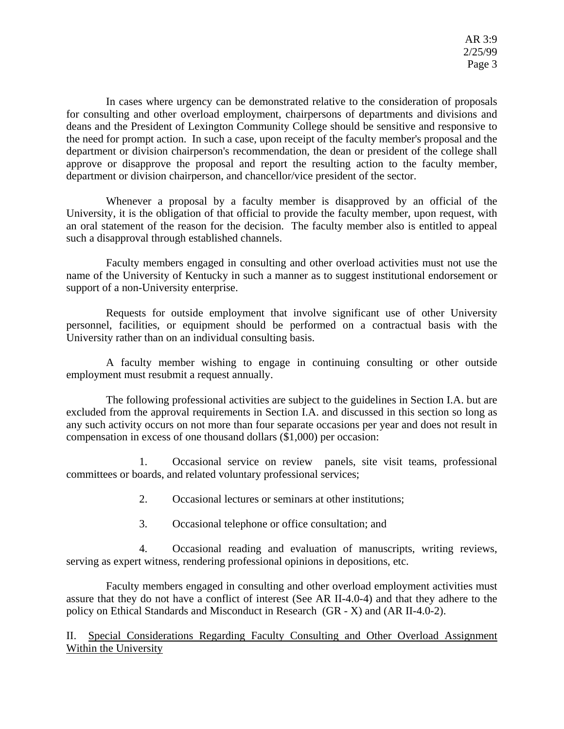In cases where urgency can be demonstrated relative to the consideration of proposals for consulting and other overload employment, chairpersons of departments and divisions and deans and the President of Lexington Community College should be sensitive and responsive to the need for prompt action. In such a case, upon receipt of the faculty member's proposal and the department or division chairperson's recommendation, the dean or president of the college shall approve or disapprove the proposal and report the resulting action to the faculty member, department or division chairperson, and chancellor/vice president of the sector.

 Whenever a proposal by a faculty member is disapproved by an official of the University, it is the obligation of that official to provide the faculty member, upon request, with an oral statement of the reason for the decision. The faculty member also is entitled to appeal such a disapproval through established channels.

 Faculty members engaged in consulting and other overload activities must not use the name of the University of Kentucky in such a manner as to suggest institutional endorsement or support of a non-University enterprise.

 Requests for outside employment that involve significant use of other University personnel, facilities, or equipment should be performed on a contractual basis with the University rather than on an individual consulting basis.

 A faculty member wishing to engage in continuing consulting or other outside employment must resubmit a request annually.

 The following professional activities are subject to the guidelines in Section I.A. but are excluded from the approval requirements in Section I.A. and discussed in this section so long as any such activity occurs on not more than four separate occasions per year and does not result in compensation in excess of one thousand dollars (\$1,000) per occasion:

 1. Occasional service on review panels, site visit teams, professional committees or boards, and related voluntary professional services;

- 2. Occasional lectures or seminars at other institutions;
- 3. Occasional telephone or office consultation; and

 4. Occasional reading and evaluation of manuscripts, writing reviews, serving as expert witness, rendering professional opinions in depositions, etc.

 Faculty members engaged in consulting and other overload employment activities must assure that they do not have a conflict of interest (See AR II-4.0-4) and that they adhere to the policy on Ethical Standards and Misconduct in Research (GR - X) and (AR II-4.0-2).

 II. Special Considerations Regarding Faculty Consulting and Other Overload Assignment Within the University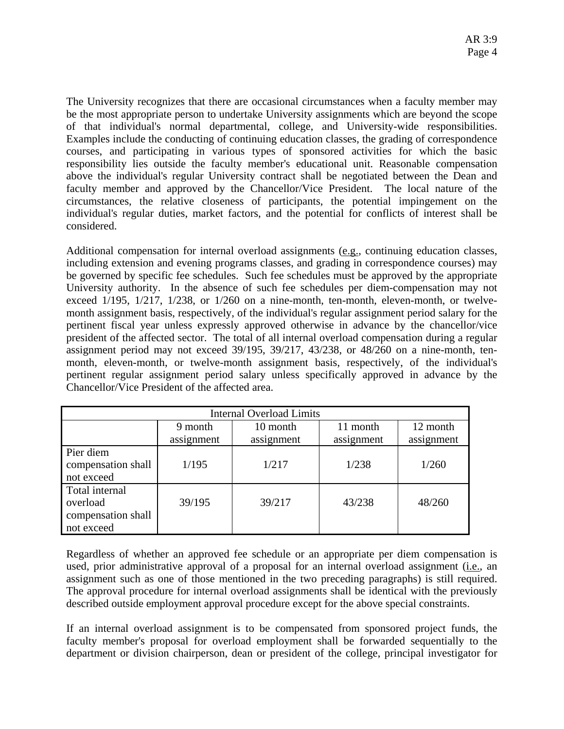The University recognizes that there are occasional circumstances when a faculty member may be the most appropriate person to undertake University assignments which are beyond the scope of that individual's normal departmental, college, and University-wide responsibilities. Examples include the conducting of continuing education classes, the grading of correspondence courses, and participating in various types of sponsored activities for which the basic responsibility lies outside the faculty member's educational unit. Reasonable compensation above the individual's regular University contract shall be negotiated between the Dean and faculty member and approved by the Chancellor/Vice President. The local nature of the circumstances, the relative closeness of participants, the potential impingement on the individual's regular duties, market factors, and the potential for conflicts of interest shall be considered.

Additional compensation for internal overload assignments (e.g., continuing education classes, including extension and evening programs classes, and grading in correspondence courses) may be governed by specific fee schedules. Such fee schedules must be approved by the appropriate University authority. In the absence of such fee schedules per diem-compensation may not exceed 1/195, 1/217, 1/238, or 1/260 on a nine-month, ten-month, eleven-month, or twelvemonth assignment basis, respectively, of the individual's regular assignment period salary for the pertinent fiscal year unless expressly approved otherwise in advance by the chancellor/vice president of the affected sector. The total of all internal overload compensation during a regular assignment period may not exceed 39/195, 39/217, 43/238, or 48/260 on a nine-month, tenmonth, eleven-month, or twelve-month assignment basis, respectively, of the individual's pertinent regular assignment period salary unless specifically approved in advance by the Chancellor/Vice President of the affected area.

| <b>Internal Overload Limits</b>                                |            |            |            |            |  |  |
|----------------------------------------------------------------|------------|------------|------------|------------|--|--|
|                                                                | 9 month    | 10 month   | 11 month   | 12 month   |  |  |
|                                                                | assignment | assignment | assignment | assignment |  |  |
| Pier diem<br>compensation shall<br>not exceed                  | 1/195      | 1/217      | 1/238      | 1/260      |  |  |
| Total internal<br>overload<br>compensation shall<br>not exceed | 39/195     | 39/217     | 43/238     | 48/260     |  |  |

Regardless of whether an approved fee schedule or an appropriate per diem compensation is used, prior administrative approval of a proposal for an internal overload assignment (*i.e.*, an assignment such as one of those mentioned in the two preceding paragraphs) is still required. The approval procedure for internal overload assignments shall be identical with the previously described outside employment approval procedure except for the above special constraints.

If an internal overload assignment is to be compensated from sponsored project funds, the faculty member's proposal for overload employment shall be forwarded sequentially to the department or division chairperson, dean or president of the college, principal investigator for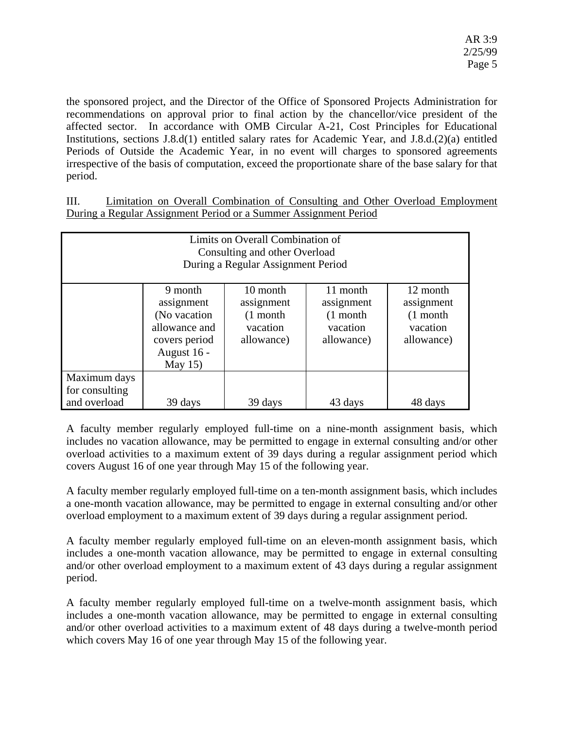the sponsored project, and the Director of the Office of Sponsored Projects Administration for recommendations on approval prior to final action by the chancellor/vice president of the affected sector. In accordance with OMB Circular A-21, Cost Principles for Educational Institutions, sections J.8.d(1) entitled salary rates for Academic Year, and J.8.d.(2)(a) entitled Periods of Outside the Academic Year, in no event will charges to sponsored agreements irrespective of the basis of computation, exceed the proportionate share of the base salary for that period.

 III. Limitation on Overall Combination of Consulting and Other Overload Employment During a Regular Assignment Period or a Summer Assignment Period

| Limits on Overall Combination of<br>Consulting and other Overload<br>During a Regular Assignment Period |                                                                                                       |                                                                |                                                                |                                                                |  |  |
|---------------------------------------------------------------------------------------------------------|-------------------------------------------------------------------------------------------------------|----------------------------------------------------------------|----------------------------------------------------------------|----------------------------------------------------------------|--|--|
|                                                                                                         | 9 month<br>assignment<br>(No vacation)<br>allowance and<br>covers period<br>August 16 -<br>May $15$ ) | 10 month<br>assignment<br>$(1$ month<br>vacation<br>allowance) | 11 month<br>assignment<br>$(1$ month<br>vacation<br>allowance) | 12 month<br>assignment<br>$(1$ month<br>vacation<br>allowance) |  |  |
| Maximum days<br>for consulting<br>and overload                                                          | 39 days                                                                                               | 39 days                                                        | 43 days                                                        | 48 days                                                        |  |  |

A faculty member regularly employed full-time on a nine-month assignment basis, which includes no vacation allowance, may be permitted to engage in external consulting and/or other overload activities to a maximum extent of 39 days during a regular assignment period which covers August 16 of one year through May 15 of the following year.

A faculty member regularly employed full-time on a ten-month assignment basis, which includes a one-month vacation allowance, may be permitted to engage in external consulting and/or other overload employment to a maximum extent of 39 days during a regular assignment period.

A faculty member regularly employed full-time on an eleven-month assignment basis, which includes a one-month vacation allowance, may be permitted to engage in external consulting and/or other overload employment to a maximum extent of 43 days during a regular assignment period.

A faculty member regularly employed full-time on a twelve-month assignment basis, which includes a one-month vacation allowance, may be permitted to engage in external consulting and/or other overload activities to a maximum extent of 48 days during a twelve-month period which covers May 16 of one year through May 15 of the following year.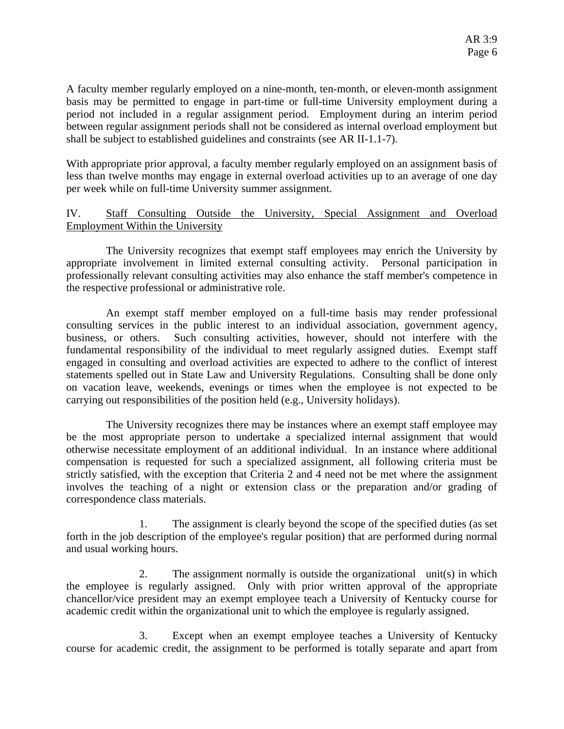A faculty member regularly employed on a nine-month, ten-month, or eleven-month assignment basis may be permitted to engage in part-time or full-time University employment during a period not included in a regular assignment period. Employment during an interim period between regular assignment periods shall not be considered as internal overload employment but shall be subject to established guidelines and constraints (see AR II-1.1-7).

With appropriate prior approval, a faculty member regularly employed on an assignment basis of less than twelve months may engage in external overload activities up to an average of one day per week while on full-time University summer assignment.

## IV. Staff Consulting Outside the University, Special Assignment and Overload Employment Within the University

 The University recognizes that exempt staff employees may enrich the University by appropriate involvement in limited external consulting activity. Personal participation in professionally relevant consulting activities may also enhance the staff member's competence in the respective professional or administrative role.

 An exempt staff member employed on a full-time basis may render professional consulting services in the public interest to an individual association, government agency, business, or others. Such consulting activities, however, should not interfere with the fundamental responsibility of the individual to meet regularly assigned duties. Exempt staff engaged in consulting and overload activities are expected to adhere to the conflict of interest statements spelled out in State Law and University Regulations. Consulting shall be done only on vacation leave, weekends, evenings or times when the employee is not expected to be carrying out responsibilities of the position held (e.g., University holidays).

 The University recognizes there may be instances where an exempt staff employee may be the most appropriate person to undertake a specialized internal assignment that would otherwise necessitate employment of an additional individual. In an instance where additional compensation is requested for such a specialized assignment, all following criteria must be strictly satisfied, with the exception that Criteria 2 and 4 need not be met where the assignment involves the teaching of a night or extension class or the preparation and/or grading of correspondence class materials.

 1. The assignment is clearly beyond the scope of the specified duties (as set forth in the job description of the employee's regular position) that are performed during normal and usual working hours.

 2. The assignment normally is outside the organizational unit(s) in which the employee is regularly assigned. Only with prior written approval of the appropriate chancellor/vice president may an exempt employee teach a University of Kentucky course for academic credit within the organizational unit to which the employee is regularly assigned.

 3. Except when an exempt employee teaches a University of Kentucky course for academic credit, the assignment to be performed is totally separate and apart from